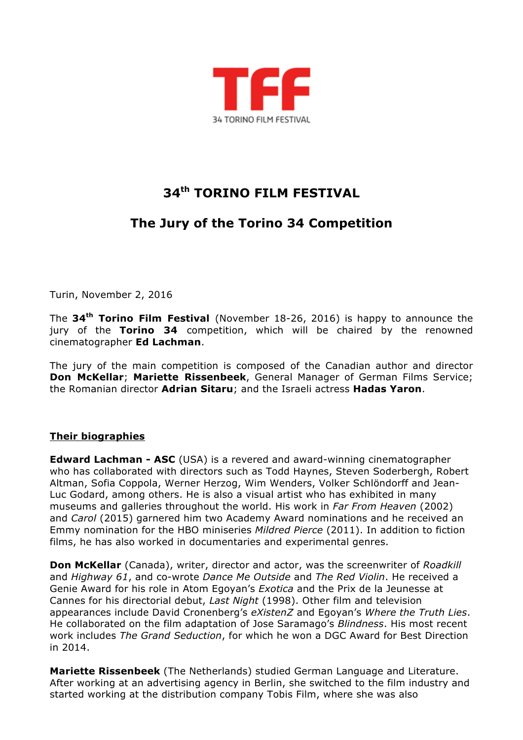

## **34th TORINO FILM FESTIVAL**

## **The Jury of the Torino 34 Competition**

Turin, November 2, 2016

The **34th Torino Film Festival** (November 18-26, 2016) is happy to announce the jury of the **Torino 34** competition, which will be chaired by the renowned cinematographer **Ed Lachman**.

The jury of the main competition is composed of the Canadian author and director **Don McKellar**; **Mariette Rissenbeek**, General Manager of German Films Service; the Romanian director **Adrian Sitaru**; and the Israeli actress **Hadas Yaron**.

## **Their biographies**

**Edward Lachman - ASC** (USA) is a revered and award-winning cinematographer who has collaborated with directors such as Todd Haynes, Steven Soderbergh, Robert Altman, Sofia Coppola, Werner Herzog, Wim Wenders, Volker Schlöndorff and Jean-Luc Godard, among others. He is also a visual artist who has exhibited in many museums and galleries throughout the world. His work in *Far From Heaven* (2002) and *Carol* (2015) garnered him two Academy Award nominations and he received an Emmy nomination for the HBO miniseries *Mildred Pierce* (2011). In addition to fiction films, he has also worked in documentaries and experimental genres.

**Don McKellar** (Canada), writer, director and actor, was the screenwriter of *Roadkill* and *Highway 61*, and co-wrote *Dance Me Outside* and *The Red Violin*. He received a Genie Award for his role in Atom Egoyan's *Exotica* and the Prix de la Jeunesse at Cannes for his directorial debut, *Last Night* (1998). Other film and television appearances include David Cronenberg's *eXistenZ* and Egoyan's *Where the Truth Lies*. He collaborated on the film adaptation of Jose Saramago's *Blindness*. His most recent work includes *The Grand Seduction*, for which he won a DGC Award for Best Direction in 2014.

**Mariette Rissenbeek** (The Netherlands) studied German Language and Literature. After working at an advertising agency in Berlin, she switched to the film industry and started working at the distribution company Tobis Film, where she was also